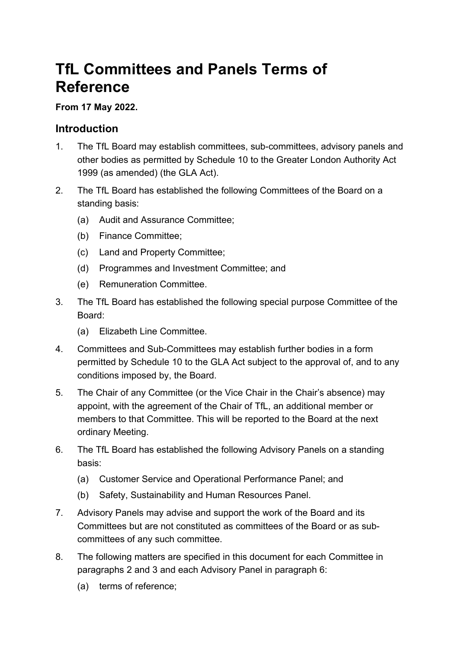# **TfL Committees and Panels Terms of Reference**

#### **From 17 May 2022.**

#### **Introduction**

- 1. The TfL Board may establish committees, sub-committees, advisory panels and other bodies as permitted by Schedule 10 to the Greater London Authority Act 1999 (as amended) (the GLA Act).
- 2. The TfL Board has established the following Committees of the Board on a standing basis:
	- (a) Audit and Assurance Committee;
	- (b) Finance Committee;
	- (c) Land and Property Committee;
	- (d) Programmes and Investment Committee; and
	- (e) Remuneration Committee.
- 3. The TfL Board has established the following special purpose Committee of the Board:
	- (a) Elizabeth Line Committee.
- 4. Committees and Sub-Committees may establish further bodies in a form permitted by Schedule 10 to the GLA Act subject to the approval of, and to any conditions imposed by, the Board.
- 5. The Chair of any Committee (or the Vice Chair in the Chair's absence) may appoint, with the agreement of the Chair of TfL, an additional member or members to that Committee. This will be reported to the Board at the next ordinary Meeting.
- 6. The TfL Board has established the following Advisory Panels on a standing basis:
	- (a) Customer Service and Operational Performance Panel; and
	- (b) Safety, Sustainability and Human Resources Panel.
- 7. Advisory Panels may advise and support the work of the Board and its Committees but are not constituted as committees of the Board or as subcommittees of any such committee.
- 8. The following matters are specified in this document for each Committee in paragraphs 2 and 3 and each Advisory Panel in paragraph 6:
	- (a) terms of reference;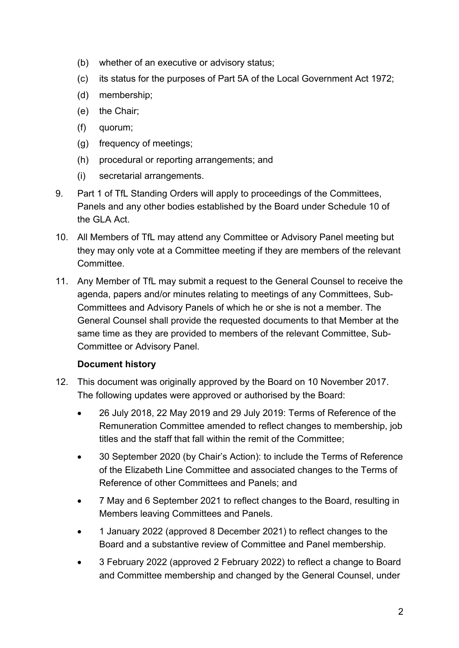- (b) whether of an executive or advisory status;
- (c) its status for the purposes of Part 5A of the Local Government Act 1972;
- (d) membership;
- (e) the Chair;
- (f) quorum;
- (g) frequency of meetings;
- (h) procedural or reporting arrangements; and
- (i) secretarial arrangements.
- 9. Part 1 of TfL Standing Orders will apply to proceedings of the Committees, Panels and any other bodies established by the Board under Schedule 10 of the GLA Act.
- 10. All Members of TfL may attend any Committee or Advisory Panel meeting but they may only vote at a Committee meeting if they are members of the relevant Committee.
- 11. Any Member of TfL may submit a request to the General Counsel to receive the agenda, papers and/or minutes relating to meetings of any Committees, Sub-Committees and Advisory Panels of which he or she is not a member. The General Counsel shall provide the requested documents to that Member at the same time as they are provided to members of the relevant Committee, Sub-Committee or Advisory Panel.

#### **Document history**

- 12. This document was originally approved by the Board on 10 November 2017. The following updates were approved or authorised by the Board:
	- 26 July 2018, 22 May 2019 and 29 July 2019: Terms of Reference of the Remuneration Committee amended to reflect changes to membership, job titles and the staff that fall within the remit of the Committee;
	- 30 September 2020 (by Chair's Action): to include the Terms of Reference of the Elizabeth Line Committee and associated changes to the Terms of Reference of other Committees and Panels; and
	- 7 May and 6 September 2021 to reflect changes to the Board, resulting in Members leaving Committees and Panels.
	- 1 January 2022 (approved 8 December 2021) to reflect changes to the Board and a substantive review of Committee and Panel membership.
	- 3 February 2022 (approved 2 February 2022) to reflect a change to Board and Committee membership and changed by the General Counsel, under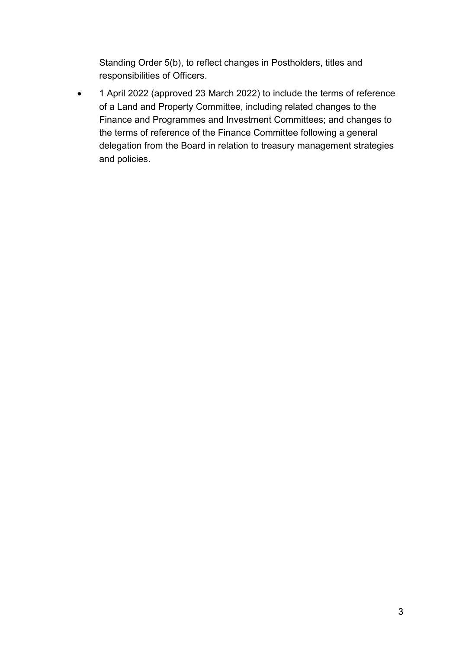Standing Order 5(b), to reflect changes in Postholders, titles and responsibilities of Officers.

• 1 April 2022 (approved 23 March 2022) to include the terms of reference of a Land and Property Committee, including related changes to the Finance and Programmes and Investment Committees; and changes to the terms of reference of the Finance Committee following a general delegation from the Board in relation to treasury management strategies and policies.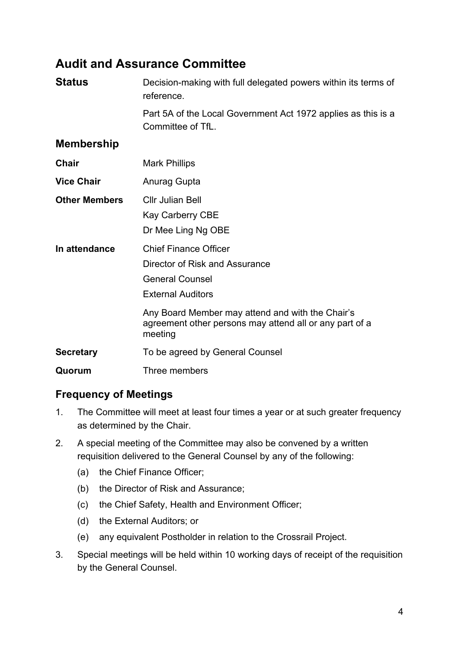# **Audit and Assurance Committee**

| <b>Status</b>        | Decision-making with full delegated powers within its terms of<br>reference.                                                                                                                                                        |
|----------------------|-------------------------------------------------------------------------------------------------------------------------------------------------------------------------------------------------------------------------------------|
|                      | Part 5A of the Local Government Act 1972 applies as this is a<br>Committee of TfL.                                                                                                                                                  |
| <b>Membership</b>    |                                                                                                                                                                                                                                     |
| Chair                | <b>Mark Phillips</b>                                                                                                                                                                                                                |
| <b>Vice Chair</b>    | Anurag Gupta                                                                                                                                                                                                                        |
| <b>Other Members</b> | <b>Cllr Julian Bell</b><br><b>Kay Carberry CBE</b><br>Dr Mee Ling Ng OBE                                                                                                                                                            |
| In attendance        | <b>Chief Finance Officer</b><br>Director of Risk and Assurance<br><b>General Counsel</b><br><b>External Auditors</b><br>Any Board Member may attend and with the Chair's<br>agreement other persons may attend all or any part of a |
| <b>Secretary</b>     | meeting<br>To be agreed by General Counsel                                                                                                                                                                                          |
| Quorum               | Three members                                                                                                                                                                                                                       |
|                      |                                                                                                                                                                                                                                     |

### **Frequency of Meetings**

- 1. The Committee will meet at least four times a year or at such greater frequency as determined by the Chair.
- 2. A special meeting of the Committee may also be convened by a written requisition delivered to the General Counsel by any of the following:
	- (a) the Chief Finance Officer;
	- (b) the Director of Risk and Assurance;
	- (c) the Chief Safety, Health and Environment Officer;
	- (d) the External Auditors; or
	- (e) any equivalent Postholder in relation to the Crossrail Project.
- 3. Special meetings will be held within 10 working days of receipt of the requisition by the General Counsel.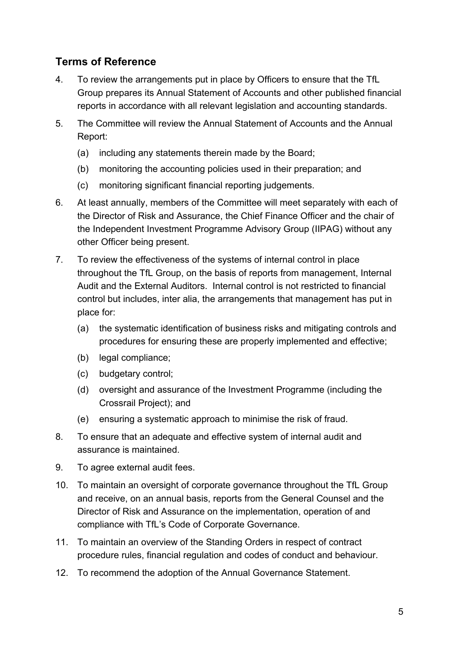### **Terms of Reference**

- 4. To review the arrangements put in place by Officers to ensure that the TfL Group prepares its Annual Statement of Accounts and other published financial reports in accordance with all relevant legislation and accounting standards.
- 5. The Committee will review the Annual Statement of Accounts and the Annual Report:
	- (a) including any statements therein made by the Board;
	- (b) monitoring the accounting policies used in their preparation; and
	- (c) monitoring significant financial reporting judgements.
- 6. At least annually, members of the Committee will meet separately with each of the Director of Risk and Assurance, the Chief Finance Officer and the chair of the Independent Investment Programme Advisory Group (IIPAG) without any other Officer being present.
- 7. To review the effectiveness of the systems of internal control in place throughout the TfL Group, on the basis of reports from management, Internal Audit and the External Auditors. Internal control is not restricted to financial control but includes, inter alia, the arrangements that management has put in place for:
	- (a) the systematic identification of business risks and mitigating controls and procedures for ensuring these are properly implemented and effective;
	- (b) legal compliance;
	- (c) budgetary control;
	- (d) oversight and assurance of the Investment Programme (including the Crossrail Project); and
	- (e) ensuring a systematic approach to minimise the risk of fraud.
- 8. To ensure that an adequate and effective system of internal audit and assurance is maintained.
- 9. To agree external audit fees.
- 10. To maintain an oversight of corporate governance throughout the TfL Group and receive, on an annual basis, reports from the General Counsel and the Director of Risk and Assurance on the implementation, operation of and compliance with TfL's Code of Corporate Governance.
- 11. To maintain an overview of the Standing Orders in respect of contract procedure rules, financial regulation and codes of conduct and behaviour.
- 12. To recommend the adoption of the Annual Governance Statement.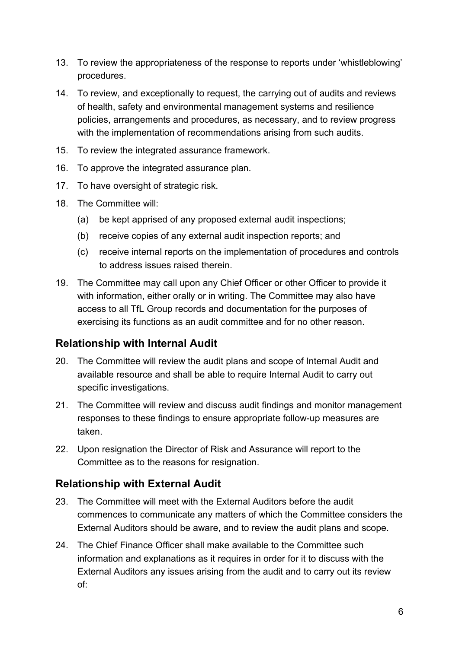- 13. To review the appropriateness of the response to reports under 'whistleblowing' procedures.
- 14. To review, and exceptionally to request, the carrying out of audits and reviews of health, safety and environmental management systems and resilience policies, arrangements and procedures, as necessary, and to review progress with the implementation of recommendations arising from such audits.
- 15. To review the integrated assurance framework.
- 16. To approve the integrated assurance plan.
- 17. To have oversight of strategic risk.
- 18. The Committee will:
	- (a) be kept apprised of any proposed external audit inspections;
	- (b) receive copies of any external audit inspection reports; and
	- (c) receive internal reports on the implementation of procedures and controls to address issues raised therein.
- 19. The Committee may call upon any Chief Officer or other Officer to provide it with information, either orally or in writing. The Committee may also have access to all TfL Group records and documentation for the purposes of exercising its functions as an audit committee and for no other reason.

#### **Relationship with Internal Audit**

- 20. The Committee will review the audit plans and scope of Internal Audit and available resource and shall be able to require Internal Audit to carry out specific investigations.
- 21. The Committee will review and discuss audit findings and monitor management responses to these findings to ensure appropriate follow-up measures are taken.
- 22. Upon resignation the Director of Risk and Assurance will report to the Committee as to the reasons for resignation.

#### **Relationship with External Audit**

- 23. The Committee will meet with the External Auditors before the audit commences to communicate any matters of which the Committee considers the External Auditors should be aware, and to review the audit plans and scope.
- 24. The Chief Finance Officer shall make available to the Committee such information and explanations as it requires in order for it to discuss with the External Auditors any issues arising from the audit and to carry out its review of: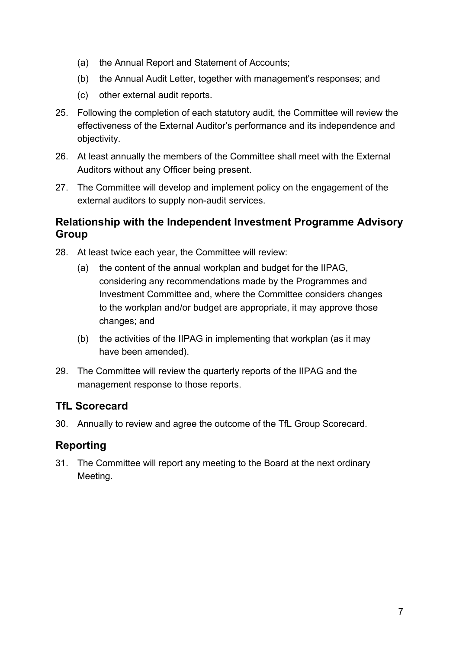- (a) the Annual Report and Statement of Accounts;
- (b) the Annual Audit Letter, together with management's responses; and
- (c) other external audit reports.
- 25. Following the completion of each statutory audit, the Committee will review the effectiveness of the External Auditor's performance and its independence and objectivity.
- 26. At least annually the members of the Committee shall meet with the External Auditors without any Officer being present.
- 27. The Committee will develop and implement policy on the engagement of the external auditors to supply non-audit services.

#### **Relationship with the Independent Investment Programme Advisory Group**

- 28. At least twice each year, the Committee will review:
	- (a) the content of the annual workplan and budget for the IIPAG, considering any recommendations made by the Programmes and Investment Committee and, where the Committee considers changes to the workplan and/or budget are appropriate, it may approve those changes; and
	- (b) the activities of the IIPAG in implementing that workplan (as it may have been amended).
- 29. The Committee will review the quarterly reports of the IIPAG and the management response to those reports.

#### **TfL Scorecard**

30. Annually to review and agree the outcome of the TfL Group Scorecard.

#### **Reporting**

31. The Committee will report any meeting to the Board at the next ordinary Meeting.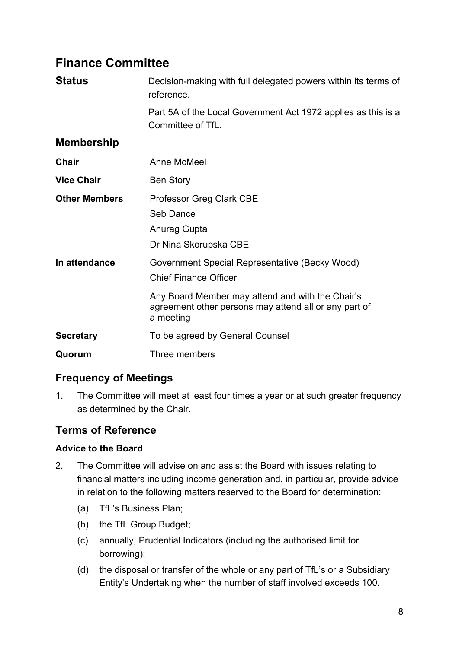# **Finance Committee**

| <b>Status</b>        | Decision-making with full delegated powers within its terms of<br>reference.                                                                                                                             |
|----------------------|----------------------------------------------------------------------------------------------------------------------------------------------------------------------------------------------------------|
|                      | Part 5A of the Local Government Act 1972 applies as this is a<br>Committee of TfL.                                                                                                                       |
| <b>Membership</b>    |                                                                                                                                                                                                          |
| Chair                | Anne McMeel                                                                                                                                                                                              |
| <b>Vice Chair</b>    | <b>Ben Story</b>                                                                                                                                                                                         |
| <b>Other Members</b> | <b>Professor Greg Clark CBE</b><br>Seb Dance<br>Anurag Gupta<br>Dr Nina Skorupska CBE                                                                                                                    |
| In attendance        | Government Special Representative (Becky Wood)<br><b>Chief Finance Officer</b><br>Any Board Member may attend and with the Chair's<br>agreement other persons may attend all or any part of<br>a meeting |
| <b>Secretary</b>     | To be agreed by General Counsel                                                                                                                                                                          |
| Quorum               | Three members                                                                                                                                                                                            |

# **Frequency of Meetings**

1. The Committee will meet at least four times a year or at such greater frequency as determined by the Chair.

#### **Terms of Reference**

#### **Advice to the Board**

- 2. The Committee will advise on and assist the Board with issues relating to financial matters including income generation and, in particular, provide advice in relation to the following matters reserved to the Board for determination:
	- (a) TfL's Business Plan;
	- (b) the TfL Group Budget;
	- (c) annually, Prudential Indicators (including the authorised limit for borrowing);
	- (d) the disposal or transfer of the whole or any part of TfL's or a Subsidiary Entity's Undertaking when the number of staff involved exceeds 100.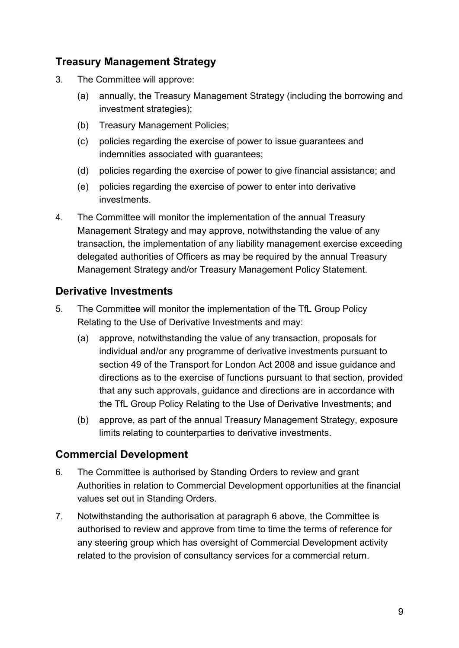### **Treasury Management Strategy**

- 3. The Committee will approve:
	- (a) annually, the Treasury Management Strategy (including the borrowing and investment strategies);
	- (b) Treasury Management Policies;
	- (c) policies regarding the exercise of power to issue guarantees and indemnities associated with guarantees;
	- (d) policies regarding the exercise of power to give financial assistance; and
	- (e) policies regarding the exercise of power to enter into derivative investments.
- 4. The Committee will monitor the implementation of the annual Treasury Management Strategy and may approve, notwithstanding the value of any transaction, the implementation of any liability management exercise exceeding delegated authorities of Officers as may be required by the annual Treasury Management Strategy and/or Treasury Management Policy Statement.

#### **Derivative Investments**

- 5. The Committee will monitor the implementation of the TfL Group Policy Relating to the Use of Derivative Investments and may:
	- (a) approve, notwithstanding the value of any transaction, proposals for individual and/or any programme of derivative investments pursuant to section 49 of the Transport for London Act 2008 and issue guidance and directions as to the exercise of functions pursuant to that section, provided that any such approvals, guidance and directions are in accordance with the TfL Group Policy Relating to the Use of Derivative Investments; and
	- (b) approve, as part of the annual Treasury Management Strategy, exposure limits relating to counterparties to derivative investments.

### **Commercial Development**

- 6. The Committee is authorised by Standing Orders to review and grant Authorities in relation to Commercial Development opportunities at the financial values set out in Standing Orders.
- 7. Notwithstanding the authorisation at paragraph 6 above, the Committee is authorised to review and approve from time to time the terms of reference for any steering group which has oversight of Commercial Development activity related to the provision of consultancy services for a commercial return.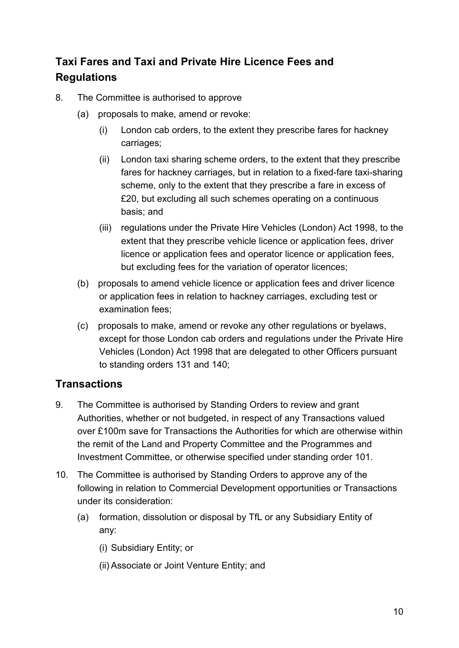# **Taxi Fares and Taxi and Private Hire Licence Fees and Regulations**

- 8. The Committee is authorised to approve
	- (a) proposals to make, amend or revoke:
		- (i) London cab orders, to the extent they prescribe fares for hackney carriages;
		- (ii) London taxi sharing scheme orders, to the extent that they prescribe fares for hackney carriages, but in relation to a fixed-fare taxi-sharing scheme, only to the extent that they prescribe a fare in excess of £20, but excluding all such schemes operating on a continuous basis; and
		- (iii) regulations under the Private Hire Vehicles (London) Act 1998, to the extent that they prescribe vehicle licence or application fees, driver licence or application fees and operator licence or application fees, but excluding fees for the variation of operator licences;
	- (b) proposals to amend vehicle licence or application fees and driver licence or application fees in relation to hackney carriages, excluding test or examination fees;
	- (c) proposals to make, amend or revoke any other regulations or byelaws, except for those London cab orders and regulations under the Private Hire Vehicles (London) Act 1998 that are delegated to other Officers pursuant to standing orders 131 and 140;

# **Transactions**

- 9. The Committee is authorised by Standing Orders to review and grant Authorities, whether or not budgeted, in respect of any Transactions valued over £100m save for Transactions the Authorities for which are otherwise within the remit of the Land and Property Committee and the Programmes and Investment Committee, or otherwise specified under standing order 101.
- 10. The Committee is authorised by Standing Orders to approve any of the following in relation to Commercial Development opportunities or Transactions under its consideration:
	- (a) formation, dissolution or disposal by TfL or any Subsidiary Entity of any:
		- (i) Subsidiary Entity; or
		- (ii) Associate or Joint Venture Entity; and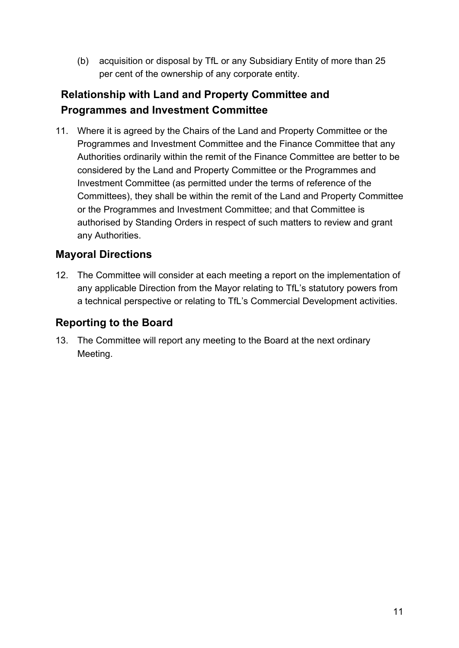(b) acquisition or disposal by TfL or any Subsidiary Entity of more than 25 per cent of the ownership of any corporate entity.

# **Relationship with Land and Property Committee and Programmes and Investment Committee**

11. Where it is agreed by the Chairs of the Land and Property Committee or the Programmes and Investment Committee and the Finance Committee that any Authorities ordinarily within the remit of the Finance Committee are better to be considered by the Land and Property Committee or the Programmes and Investment Committee (as permitted under the terms of reference of the Committees), they shall be within the remit of the Land and Property Committee or the Programmes and Investment Committee; and that Committee is authorised by Standing Orders in respect of such matters to review and grant any Authorities.

#### **Mayoral Directions**

12. The Committee will consider at each meeting a report on the implementation of any applicable Direction from the Mayor relating to TfL's statutory powers from a technical perspective or relating to TfL's Commercial Development activities.

### **Reporting to the Board**

13. The Committee will report any meeting to the Board at the next ordinary Meeting.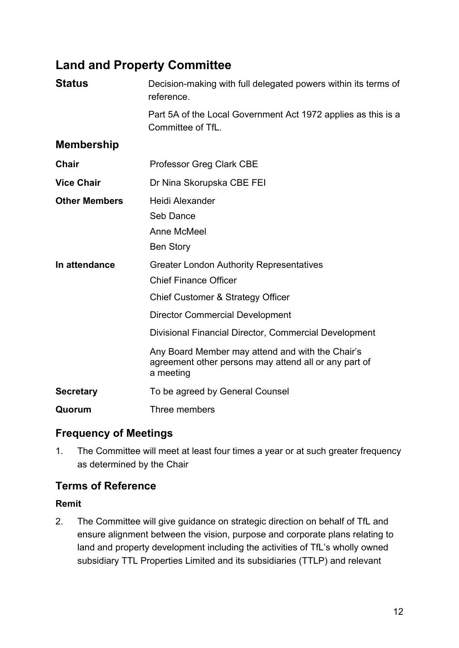# **Land and Property Committee**

| <b>Status</b>        | Decision-making with full delegated powers within its terms of<br>reference.                                                                                                                                            |
|----------------------|-------------------------------------------------------------------------------------------------------------------------------------------------------------------------------------------------------------------------|
|                      | Part 5A of the Local Government Act 1972 applies as this is a<br>Committee of TfL.                                                                                                                                      |
| <b>Membership</b>    |                                                                                                                                                                                                                         |
| Chair                | <b>Professor Greg Clark CBE</b>                                                                                                                                                                                         |
| <b>Vice Chair</b>    | Dr Nina Skorupska CBE FEI                                                                                                                                                                                               |
| <b>Other Members</b> | Heidi Alexander<br>Seb Dance<br><b>Anne McMeel</b><br><b>Ben Story</b>                                                                                                                                                  |
| In attendance        | <b>Greater London Authority Representatives</b><br><b>Chief Finance Officer</b><br>Chief Customer & Strategy Officer<br><b>Director Commercial Development</b><br>Divisional Financial Director, Commercial Development |
|                      | Any Board Member may attend and with the Chair's<br>agreement other persons may attend all or any part of<br>a meeting                                                                                                  |
| <b>Secretary</b>     | To be agreed by General Counsel                                                                                                                                                                                         |
| Quorum               | Three members                                                                                                                                                                                                           |

### **Frequency of Meetings**

1. The Committee will meet at least four times a year or at such greater frequency as determined by the Chair

### **Terms of Reference**

#### **Remit**

2. The Committee will give guidance on strategic direction on behalf of TfL and ensure alignment between the vision, purpose and corporate plans relating to land and property development including the activities of TfL's wholly owned subsidiary TTL Properties Limited and its subsidiaries (TTLP) and relevant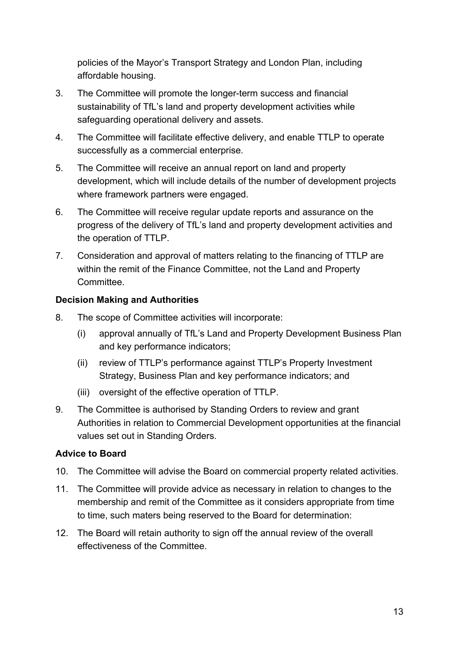policies of the Mayor's Transport Strategy and London Plan, including affordable housing.

- 3. The Committee will promote the longer-term success and financial sustainability of TfL's land and property development activities while safeguarding operational delivery and assets.
- 4. The Committee will facilitate effective delivery, and enable TTLP to operate successfully as a commercial enterprise.
- 5. The Committee will receive an annual report on land and property development, which will include details of the number of development projects where framework partners were engaged.
- 6. The Committee will receive regular update reports and assurance on the progress of the delivery of TfL's land and property development activities and the operation of TTLP.
- 7. Consideration and approval of matters relating to the financing of TTLP are within the remit of the Finance Committee, not the Land and Property **Committee.**

#### **Decision Making and Authorities**

- 8. The scope of Committee activities will incorporate:
	- (i) approval annually of TfL's Land and Property Development Business Plan and key performance indicators;
	- (ii) review of TTLP's performance against TTLP's Property Investment Strategy, Business Plan and key performance indicators; and
	- (iii) oversight of the effective operation of TTLP.
- 9. The Committee is authorised by Standing Orders to review and grant Authorities in relation to Commercial Development opportunities at the financial values set out in Standing Orders.

#### **Advice to Board**

- 10. The Committee will advise the Board on commercial property related activities.
- 11. The Committee will provide advice as necessary in relation to changes to the membership and remit of the Committee as it considers appropriate from time to time, such maters being reserved to the Board for determination:
- 12. The Board will retain authority to sign off the annual review of the overall effectiveness of the Committee.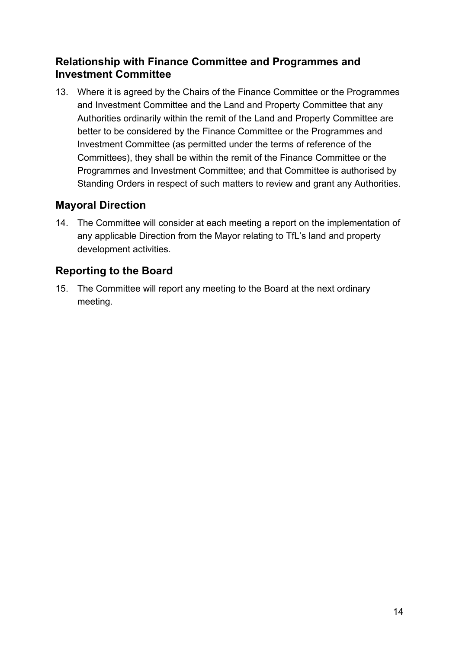#### **Relationship with Finance Committee and Programmes and Investment Committee**

13. Where it is agreed by the Chairs of the Finance Committee or the Programmes and Investment Committee and the Land and Property Committee that any Authorities ordinarily within the remit of the Land and Property Committee are better to be considered by the Finance Committee or the Programmes and Investment Committee (as permitted under the terms of reference of the Committees), they shall be within the remit of the Finance Committee or the Programmes and Investment Committee; and that Committee is authorised by Standing Orders in respect of such matters to review and grant any Authorities.

#### **Mayoral Direction**

14. The Committee will consider at each meeting a report on the implementation of any applicable Direction from the Mayor relating to TfL's land and property development activities.

#### **Reporting to the Board**

15. The Committee will report any meeting to the Board at the next ordinary meeting.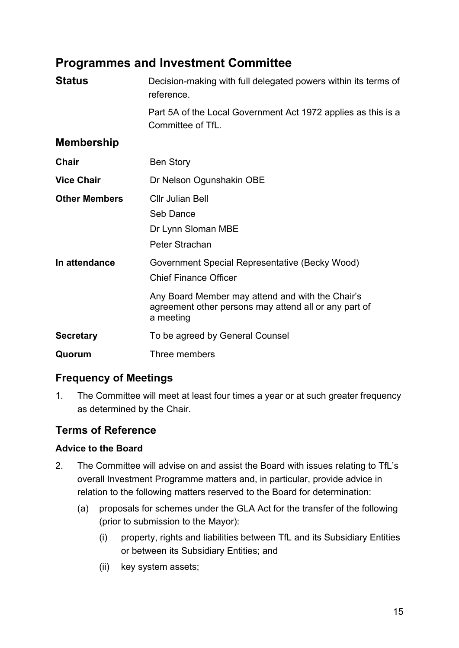# **Programmes and Investment Committee**

| <b>Status</b>        | Decision-making with full delegated powers within its terms of<br>reference.                                                                                                                             |
|----------------------|----------------------------------------------------------------------------------------------------------------------------------------------------------------------------------------------------------|
|                      | Part 5A of the Local Government Act 1972 applies as this is a<br>Committee of TfL.                                                                                                                       |
| <b>Membership</b>    |                                                                                                                                                                                                          |
| Chair                | <b>Ben Story</b>                                                                                                                                                                                         |
| <b>Vice Chair</b>    | Dr Nelson Ogunshakin OBE                                                                                                                                                                                 |
| <b>Other Members</b> | <b>Cllr Julian Bell</b><br>Seb Dance<br>Dr Lynn Sloman MBE<br>Peter Strachan                                                                                                                             |
| In attendance        | Government Special Representative (Becky Wood)<br><b>Chief Finance Officer</b><br>Any Board Member may attend and with the Chair's<br>agreement other persons may attend all or any part of<br>a meeting |
| <b>Secretary</b>     | To be agreed by General Counsel                                                                                                                                                                          |
| Quorum               | Three members                                                                                                                                                                                            |

# **Frequency of Meetings**

1. The Committee will meet at least four times a year or at such greater frequency as determined by the Chair.

#### **Terms of Reference**

#### **Advice to the Board**

- 2. The Committee will advise on and assist the Board with issues relating to TfL's overall Investment Programme matters and, in particular, provide advice in relation to the following matters reserved to the Board for determination:
	- (a) proposals for schemes under the GLA Act for the transfer of the following (prior to submission to the Mayor):
		- (i) property, rights and liabilities between TfL and its Subsidiary Entities or between its Subsidiary Entities; and
		- (ii) key system assets;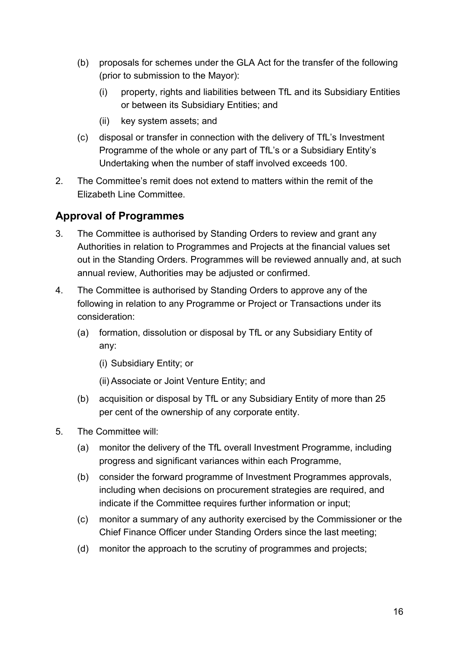- (b) proposals for schemes under the GLA Act for the transfer of the following (prior to submission to the Mayor):
	- (i) property, rights and liabilities between TfL and its Subsidiary Entities or between its Subsidiary Entities; and
	- (ii) key system assets; and
- (c) disposal or transfer in connection with the delivery of TfL's Investment Programme of the whole or any part of TfL's or a Subsidiary Entity's Undertaking when the number of staff involved exceeds 100.
- 2. The Committee's remit does not extend to matters within the remit of the Elizabeth Line Committee.

### **Approval of Programmes**

- 3. The Committee is authorised by Standing Orders to review and grant any Authorities in relation to Programmes and Projects at the financial values set out in the Standing Orders. Programmes will be reviewed annually and, at such annual review, Authorities may be adjusted or confirmed.
- 4. The Committee is authorised by Standing Orders to approve any of the following in relation to any Programme or Project or Transactions under its consideration:
	- (a) formation, dissolution or disposal by TfL or any Subsidiary Entity of any:
		- (i) Subsidiary Entity; or
		- (ii) Associate or Joint Venture Entity; and
	- (b) acquisition or disposal by TfL or any Subsidiary Entity of more than 25 per cent of the ownership of any corporate entity.
- 5. The Committee will:
	- (a) monitor the delivery of the TfL overall Investment Programme, including progress and significant variances within each Programme,
	- (b) consider the forward programme of Investment Programmes approvals, including when decisions on procurement strategies are required, and indicate if the Committee requires further information or input;
	- (c) monitor a summary of any authority exercised by the Commissioner or the Chief Finance Officer under Standing Orders since the last meeting;
	- (d) monitor the approach to the scrutiny of programmes and projects;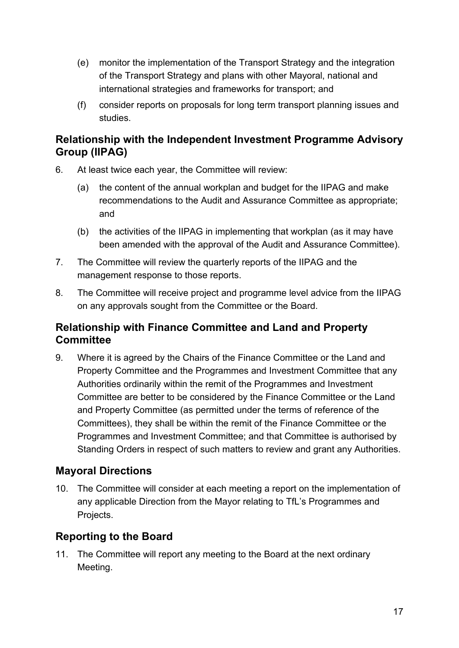- (e) monitor the implementation of the Transport Strategy and the integration of the Transport Strategy and plans with other Mayoral, national and international strategies and frameworks for transport; and
- (f) consider reports on proposals for long term transport planning issues and studies.

#### **Relationship with the Independent Investment Programme Advisory Group (IIPAG)**

- 6. At least twice each year, the Committee will review:
	- (a) the content of the annual workplan and budget for the IIPAG and make recommendations to the Audit and Assurance Committee as appropriate; and
	- (b) the activities of the IIPAG in implementing that workplan (as it may have been amended with the approval of the Audit and Assurance Committee).
- 7. The Committee will review the quarterly reports of the IIPAG and the management response to those reports.
- 8. The Committee will receive project and programme level advice from the IIPAG on any approvals sought from the Committee or the Board.

#### **Relationship with Finance Committee and Land and Property Committee**

9. Where it is agreed by the Chairs of the Finance Committee or the Land and Property Committee and the Programmes and Investment Committee that any Authorities ordinarily within the remit of the Programmes and Investment Committee are better to be considered by the Finance Committee or the Land and Property Committee (as permitted under the terms of reference of the Committees), they shall be within the remit of the Finance Committee or the Programmes and Investment Committee; and that Committee is authorised by Standing Orders in respect of such matters to review and grant any Authorities.

### **Mayoral Directions**

10. The Committee will consider at each meeting a report on the implementation of any applicable Direction from the Mayor relating to TfL's Programmes and Projects.

### **Reporting to the Board**

11. The Committee will report any meeting to the Board at the next ordinary Meeting.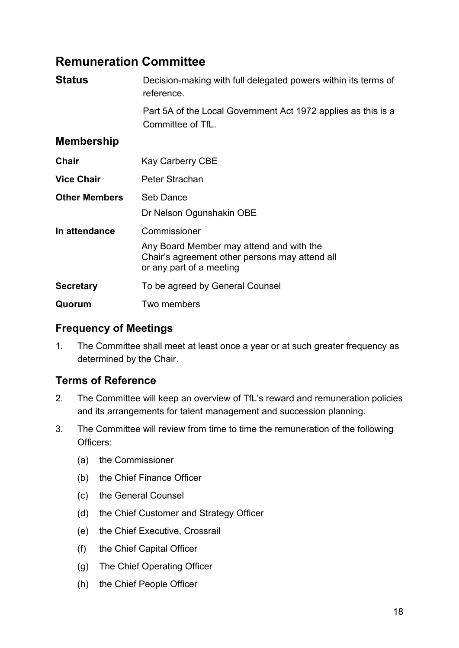# **Remuneration Committee**

| <b>Status</b>        | Decision-making with full delegated powers within its terms of<br>reference.                                                           |
|----------------------|----------------------------------------------------------------------------------------------------------------------------------------|
|                      | Part 5A of the Local Government Act 1972 applies as this is a<br>Committee of TfL.                                                     |
| <b>Membership</b>    |                                                                                                                                        |
| <b>Chair</b>         | <b>Kay Carberry CBE</b>                                                                                                                |
| <b>Vice Chair</b>    | Peter Strachan                                                                                                                         |
| <b>Other Members</b> | Seb Dance<br>Dr Nelson Ogunshakin OBE                                                                                                  |
| In attendance        | Commissioner<br>Any Board Member may attend and with the<br>Chair's agreement other persons may attend all<br>or any part of a meeting |
| <b>Secretary</b>     | To be agreed by General Counsel                                                                                                        |
| Quorum               | Two members                                                                                                                            |

#### **Frequency of Meetings**

1. The Committee shall meet at least once a year or at such greater frequency as determined by the Chair.

#### **Terms of Reference**

- 2. The Committee will keep an overview of TfL's reward and remuneration policies and its arrangements for talent management and succession planning.
- 3. The Committee will review from time to time the remuneration of the following Officers:
	- (a) the Commissioner
	- (b) the Chief Finance Officer
	- (c) the General Counsel
	- (d) the Chief Customer and Strategy Officer
	- (e) the Chief Executive, Crossrail
	- (f) the Chief Capital Officer
	- (g) The Chief Operating Officer
	- (h) the Chief People Officer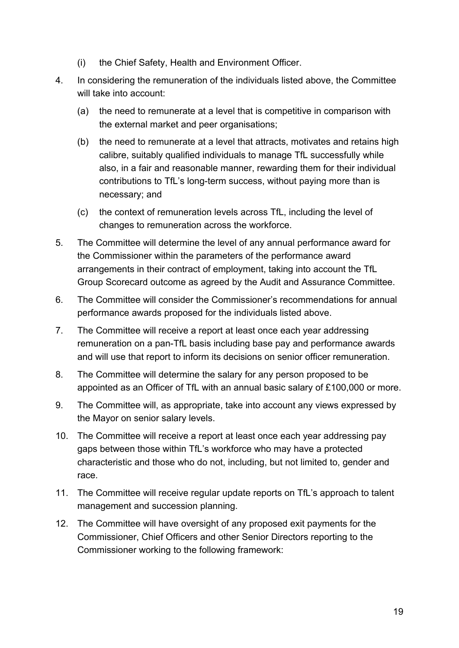- (i) the Chief Safety, Health and Environment Officer.
- 4. In considering the remuneration of the individuals listed above, the Committee will take into account:
	- (a) the need to remunerate at a level that is competitive in comparison with the external market and peer organisations;
	- (b) the need to remunerate at a level that attracts, motivates and retains high calibre, suitably qualified individuals to manage TfL successfully while also, in a fair and reasonable manner, rewarding them for their individual contributions to TfL's long-term success, without paying more than is necessary; and
	- (c) the context of remuneration levels across TfL, including the level of changes to remuneration across the workforce.
- 5. The Committee will determine the level of any annual performance award for the Commissioner within the parameters of the performance award arrangements in their contract of employment, taking into account the TfL Group Scorecard outcome as agreed by the Audit and Assurance Committee.
- 6. The Committee will consider the Commissioner's recommendations for annual performance awards proposed for the individuals listed above.
- 7. The Committee will receive a report at least once each year addressing remuneration on a pan-TfL basis including base pay and performance awards and will use that report to inform its decisions on senior officer remuneration.
- 8. The Committee will determine the salary for any person proposed to be appointed as an Officer of TfL with an annual basic salary of £100,000 or more.
- 9. The Committee will, as appropriate, take into account any views expressed by the Mayor on senior salary levels.
- 10. The Committee will receive a report at least once each year addressing pay gaps between those within TfL's workforce who may have a protected characteristic and those who do not, including, but not limited to, gender and race.
- 11. The Committee will receive regular update reports on TfL's approach to talent management and succession planning.
- 12. The Committee will have oversight of any proposed exit payments for the Commissioner, Chief Officers and other Senior Directors reporting to the Commissioner working to the following framework: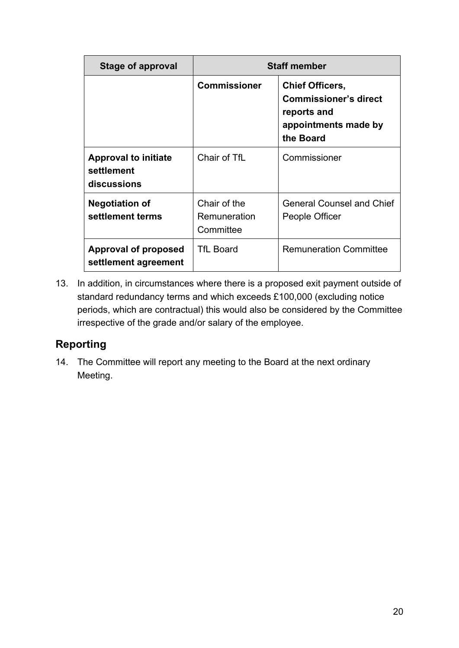| Stage of approval                                        |                                           | <b>Staff member</b>                                                                                        |
|----------------------------------------------------------|-------------------------------------------|------------------------------------------------------------------------------------------------------------|
|                                                          | <b>Commissioner</b>                       | <b>Chief Officers,</b><br><b>Commissioner's direct</b><br>reports and<br>appointments made by<br>the Board |
| <b>Approval to initiate</b><br>settlement<br>discussions | Chair of TfL                              | Commissioner                                                                                               |
| <b>Negotiation of</b><br>settlement terms                | Chair of the<br>Remuneration<br>Committee | <b>General Counsel and Chief</b><br>People Officer                                                         |
| <b>Approval of proposed</b><br>settlement agreement      | <b>TfL Board</b>                          | <b>Remuneration Committee</b>                                                                              |

13. In addition, in circumstances where there is a proposed exit payment outside of standard redundancy terms and which exceeds £100,000 (excluding notice periods, which are contractual) this would also be considered by the Committee irrespective of the grade and/or salary of the employee.

# **Reporting**

14. The Committee will report any meeting to the Board at the next ordinary Meeting.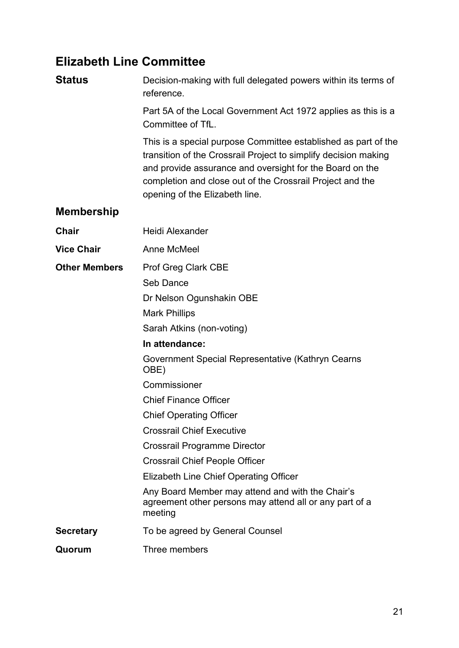# **Elizabeth Line Committee**

**Status** Decision-making with full delegated powers within its terms of reference.

> Part 5A of the Local Government Act 1972 applies as this is a Committee of TfL.

This is a special purpose Committee established as part of the transition of the Crossrail Project to simplify decision making and provide assurance and oversight for the Board on the completion and close out of the Crossrail Project and the opening of the Elizabeth line.

#### **Membership**

| <b>Chair</b>         | <b>Heidi Alexander</b>                                                                                                 |
|----------------------|------------------------------------------------------------------------------------------------------------------------|
| <b>Vice Chair</b>    | Anne McMeel                                                                                                            |
| <b>Other Members</b> | <b>Prof Greg Clark CBE</b>                                                                                             |
|                      | Seb Dance                                                                                                              |
|                      | Dr Nelson Ogunshakin OBE                                                                                               |
|                      | <b>Mark Phillips</b>                                                                                                   |
|                      | Sarah Atkins (non-voting)                                                                                              |
|                      | In attendance:                                                                                                         |
|                      | Government Special Representative (Kathryn Cearns<br>OBE)                                                              |
|                      | Commissioner                                                                                                           |
|                      | <b>Chief Finance Officer</b>                                                                                           |
|                      | <b>Chief Operating Officer</b>                                                                                         |
|                      | <b>Crossrail Chief Executive</b>                                                                                       |
|                      | <b>Crossrail Programme Director</b>                                                                                    |
|                      | <b>Crossrail Chief People Officer</b>                                                                                  |
|                      | Elizabeth Line Chief Operating Officer                                                                                 |
|                      | Any Board Member may attend and with the Chair's<br>agreement other persons may attend all or any part of a<br>meeting |
| <b>Secretary</b>     | To be agreed by General Counsel                                                                                        |
| Quorum               | Three members                                                                                                          |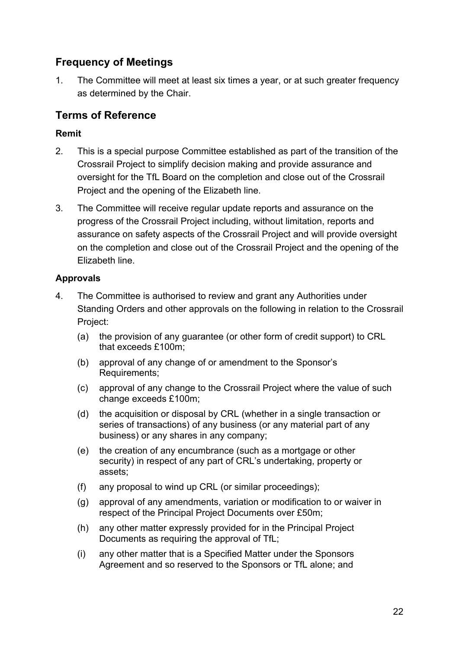### **Frequency of Meetings**

1. The Committee will meet at least six times a year, or at such greater frequency as determined by the Chair.

### **Terms of Reference**

#### **Remit**

- 2. This is a special purpose Committee established as part of the transition of the Crossrail Project to simplify decision making and provide assurance and oversight for the TfL Board on the completion and close out of the Crossrail Project and the opening of the Elizabeth line.
- 3. The Committee will receive regular update reports and assurance on the progress of the Crossrail Project including, without limitation, reports and assurance on safety aspects of the Crossrail Project and will provide oversight on the completion and close out of the Crossrail Project and the opening of the Elizabeth line.

#### **Approvals**

- 4. The Committee is authorised to review and grant any Authorities under Standing Orders and other approvals on the following in relation to the Crossrail Project:
	- (a) the provision of any guarantee (or other form of credit support) to CRL that exceeds £100m;
	- (b) approval of any change of or amendment to the Sponsor's Requirements;
	- (c) approval of any change to the Crossrail Project where the value of such change exceeds £100m;
	- (d) the acquisition or disposal by CRL (whether in a single transaction or series of transactions) of any business (or any material part of any business) or any shares in any company;
	- (e) the creation of any encumbrance (such as a mortgage or other security) in respect of any part of CRL's undertaking, property or assets;
	- (f) any proposal to wind up CRL (or similar proceedings);
	- (g) approval of any amendments, variation or modification to or waiver in respect of the Principal Project Documents over £50m;
	- (h) any other matter expressly provided for in the Principal Project Documents as requiring the approval of TfL;
	- (i) any other matter that is a Specified Matter under the Sponsors Agreement and so reserved to the Sponsors or TfL alone; and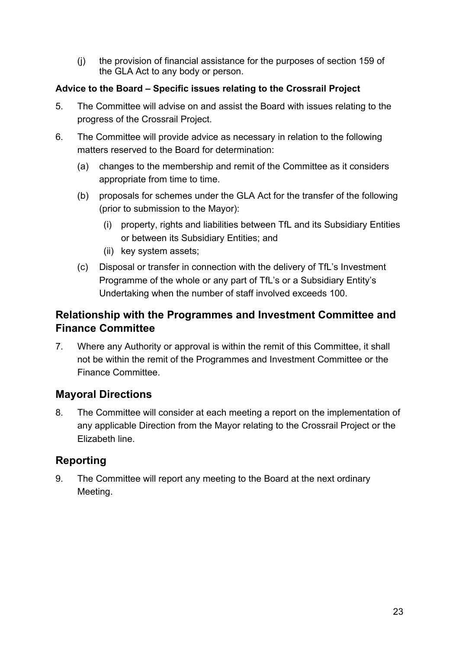(j) the provision of financial assistance for the purposes of section 159 of the GLA Act to any body or person.

#### **Advice to the Board – Specific issues relating to the Crossrail Project**

- 5. The Committee will advise on and assist the Board with issues relating to the progress of the Crossrail Project.
- 6. The Committee will provide advice as necessary in relation to the following matters reserved to the Board for determination:
	- (a) changes to the membership and remit of the Committee as it considers appropriate from time to time.
	- (b) proposals for schemes under the GLA Act for the transfer of the following (prior to submission to the Mayor):
		- (i) property, rights and liabilities between TfL and its Subsidiary Entities or between its Subsidiary Entities; and
		- (ii) key system assets;
	- (c) Disposal or transfer in connection with the delivery of TfL's Investment Programme of the whole or any part of TfL's or a Subsidiary Entity's Undertaking when the number of staff involved exceeds 100.

#### **Relationship with the Programmes and Investment Committee and Finance Committee**

7. Where any Authority or approval is within the remit of this Committee, it shall not be within the remit of the Programmes and Investment Committee or the Finance Committee.

### **Mayoral Directions**

8. The Committee will consider at each meeting a report on the implementation of any applicable Direction from the Mayor relating to the Crossrail Project or the Elizabeth line.

# **Reporting**

9. The Committee will report any meeting to the Board at the next ordinary Meeting.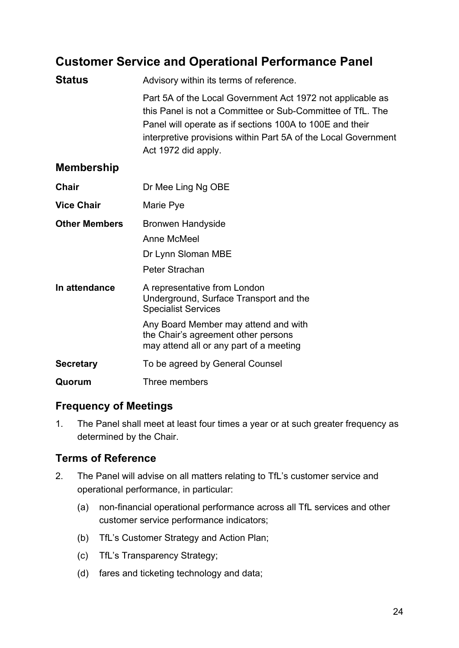# **Customer Service and Operational Performance Panel**

| <b>Status</b>        | Advisory within its terms of reference.                                                                                                                                                                                                                                       |
|----------------------|-------------------------------------------------------------------------------------------------------------------------------------------------------------------------------------------------------------------------------------------------------------------------------|
|                      | Part 5A of the Local Government Act 1972 not applicable as<br>this Panel is not a Committee or Sub-Committee of TfL. The<br>Panel will operate as if sections 100A to 100E and their<br>interpretive provisions within Part 5A of the Local Government<br>Act 1972 did apply. |
| <b>Membership</b>    |                                                                                                                                                                                                                                                                               |
| Chair                | Dr Mee Ling Ng OBE                                                                                                                                                                                                                                                            |
| <b>Vice Chair</b>    | Marie Pye                                                                                                                                                                                                                                                                     |
| <b>Other Members</b> | <b>Bronwen Handyside</b>                                                                                                                                                                                                                                                      |
|                      | Anne McMeel                                                                                                                                                                                                                                                                   |
|                      | Dr Lynn Sloman MBE                                                                                                                                                                                                                                                            |
|                      | Peter Strachan                                                                                                                                                                                                                                                                |
| In attendance        | A representative from London<br>Underground, Surface Transport and the<br><b>Specialist Services</b>                                                                                                                                                                          |
|                      | Any Board Member may attend and with<br>the Chair's agreement other persons<br>may attend all or any part of a meeting                                                                                                                                                        |
| <b>Secretary</b>     | To be agreed by General Counsel                                                                                                                                                                                                                                               |
| Quorum               | Three members                                                                                                                                                                                                                                                                 |

#### **Frequency of Meetings**

1. The Panel shall meet at least four times a year or at such greater frequency as determined by the Chair.

### **Terms of Reference**

- 2. The Panel will advise on all matters relating to TfL's customer service and operational performance, in particular:
	- (a) non-financial operational performance across all TfL services and other customer service performance indicators;
	- (b) TfL's Customer Strategy and Action Plan;
	- (c) TfL's Transparency Strategy;
	- (d) fares and ticketing technology and data;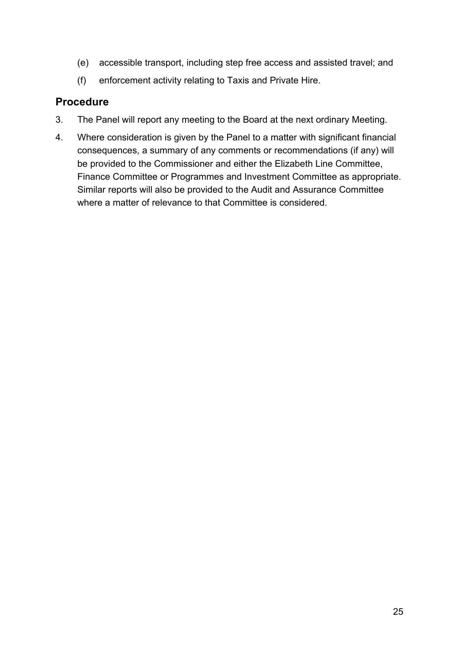- (e) accessible transport, including step free access and assisted travel; and
- (f) enforcement activity relating to Taxis and Private Hire.

#### **Procedure**

- 3. The Panel will report any meeting to the Board at the next ordinary Meeting.
- 4. Where consideration is given by the Panel to a matter with significant financial consequences, a summary of any comments or recommendations (if any) will be provided to the Commissioner and either the Elizabeth Line Committee, Finance Committee or Programmes and Investment Committee as appropriate. Similar reports will also be provided to the Audit and Assurance Committee where a matter of relevance to that Committee is considered.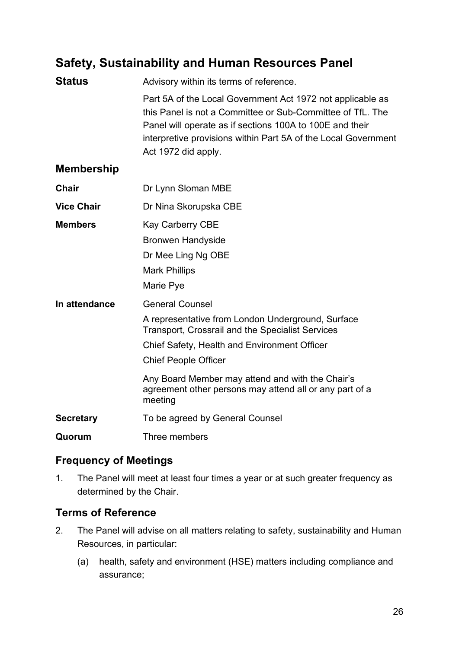# **Safety, Sustainability and Human Resources Panel**

| <b>Status</b>     | Advisory within its terms of reference.                                                                                                                                                                                                                                                                                                         |
|-------------------|-------------------------------------------------------------------------------------------------------------------------------------------------------------------------------------------------------------------------------------------------------------------------------------------------------------------------------------------------|
|                   | Part 5A of the Local Government Act 1972 not applicable as<br>this Panel is not a Committee or Sub-Committee of TfL. The<br>Panel will operate as if sections 100A to 100E and their<br>interpretive provisions within Part 5A of the Local Government<br>Act 1972 did apply.                                                                   |
| <b>Membership</b> |                                                                                                                                                                                                                                                                                                                                                 |
| <b>Chair</b>      | Dr Lynn Sloman MBE                                                                                                                                                                                                                                                                                                                              |
| <b>Vice Chair</b> | Dr Nina Skorupska CBE                                                                                                                                                                                                                                                                                                                           |
| <b>Members</b>    | <b>Kay Carberry CBE</b><br><b>Bronwen Handyside</b><br>Dr Mee Ling Ng OBE<br><b>Mark Phillips</b><br>Marie Pye                                                                                                                                                                                                                                  |
| In attendance     | <b>General Counsel</b><br>A representative from London Underground, Surface<br><b>Transport, Crossrail and the Specialist Services</b><br>Chief Safety, Health and Environment Officer<br><b>Chief People Officer</b><br>Any Board Member may attend and with the Chair's<br>agreement other persons may attend all or any part of a<br>meeting |
| <b>Secretary</b>  | To be agreed by General Counsel                                                                                                                                                                                                                                                                                                                 |
| Quorum            | Three members                                                                                                                                                                                                                                                                                                                                   |

#### **Frequency of Meetings**

1. The Panel will meet at least four times a year or at such greater frequency as determined by the Chair.

#### **Terms of Reference**

- 2. The Panel will advise on all matters relating to safety, sustainability and Human Resources, in particular:
	- (a) health, safety and environment (HSE) matters including compliance and assurance;